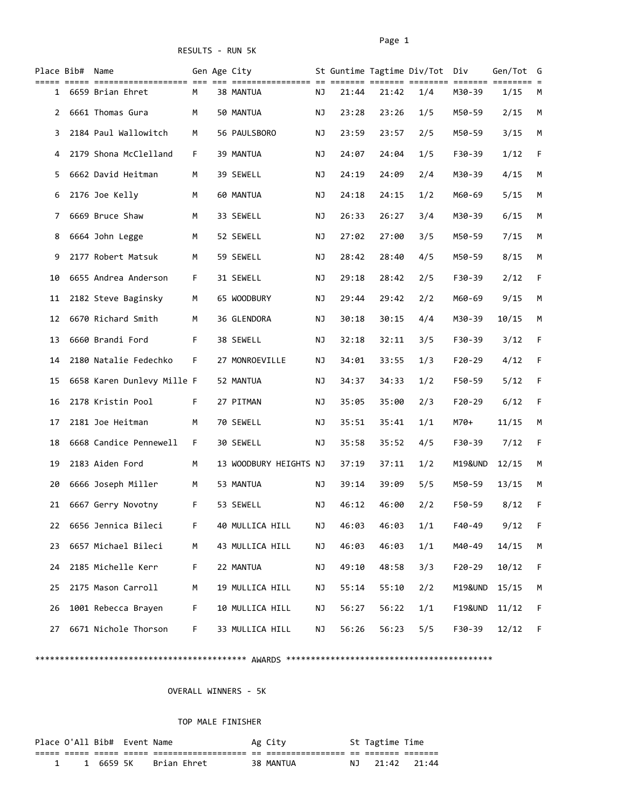RESULTS - RUN 5K

|              | Place Bib# Name |                            |    | Gen Age City           |    |       |       | St Guntime Tagtime Div/Tot Div |                    | Gen/Tot G |    |
|--------------|-----------------|----------------------------|----|------------------------|----|-------|-------|--------------------------------|--------------------|-----------|----|
| $1 \quad$    |                 | 6659 Brian Ehret           | М  | 38 MANTUA              | ΝJ | 21:44 | 21:42 | 1/4                            | M30-39             | 1/15      | M  |
| $\mathbf{2}$ |                 | 6661 Thomas Gura           | М  | 50 MANTUA              | ΝJ | 23:28 | 23:26 | 1/5                            | M50-59             | 2/15      | М  |
| 3            |                 | 2184 Paul Wallowitch       | М  | 56 PAULSBORO           | ΝJ | 23:59 | 23:57 | 2/5                            | M50-59             | 3/15      | М  |
| 4            |                 | 2179 Shona McClelland      | F  | 39 MANTUA              | ΝJ | 24:07 | 24:04 | 1/5                            | F30-39             | 1/12      | F  |
| 5            |                 | 6662 David Heitman         | М  | 39 SEWELL              | ΝJ | 24:19 | 24:09 | 2/4                            | M30-39             | 4/15      | M  |
| 6            |                 | 2176 Joe Kelly             | М  | 60 MANTUA              | ΝJ | 24:18 | 24:15 | 1/2                            | M60-69             | 5/15      | М  |
| 7            |                 | 6669 Bruce Shaw            | М  | 33 SEWELL              | ΝJ | 26:33 | 26:27 | 3/4                            | M30-39             | 6/15      | М  |
| 8            |                 | 6664 John Legge            | М  | 52 SEWELL              | ΝJ | 27:02 | 27:00 | 3/5                            | M50-59             | 7/15      | M  |
| 9            |                 | 2177 Robert Matsuk         | М  | 59 SEWELL              | ΝJ | 28:42 | 28:40 | 4/5                            | M50-59             | 8/15      | M  |
| 10           |                 | 6655 Andrea Anderson       | F  | 31 SEWELL              | ΝJ | 29:18 | 28:42 | 2/5                            | F30-39             | 2/12      | F. |
| 11           |                 | 2182 Steve Baginsky        | М  | 65 WOODBURY            | ΝJ | 29:44 | 29:42 | 2/2                            | M60-69             | 9/15      | М  |
| 12           |                 | 6670 Richard Smith         | М  | 36 GLENDORA            | ΝJ | 30:18 | 30:15 | 4/4                            | M30-39             | 10/15     | М  |
| 13           |                 | 6660 Brandi Ford           | F. | 38 SEWELL              | ΝJ | 32:18 | 32:11 | 3/5                            | F30-39             | 3/12      | F  |
| 14           |                 | 2180 Natalie Fedechko      | F  | 27 MONROEVILLE         | ΝJ | 34:01 | 33:55 | 1/3                            | $F20-29$           | 4/12      | F  |
| 15           |                 | 6658 Karen Dunlevy Mille F |    | 52 MANTUA              | ΝJ | 34:37 | 34:33 | 1/2                            | F50-59             | 5/12      | F  |
| 16           |                 | 2178 Kristin Pool          | F. | 27 PITMAN              | ΝJ | 35:05 | 35:00 | 2/3                            | F20-29             | 6/12      | F  |
| 17           |                 | 2181 Joe Heitman           | М  | 70 SEWELL              | ΝJ | 35:51 | 35:41 | 1/1                            | M70+               | 11/15     | M  |
| 18           |                 | 6668 Candice Pennewell     | F. | 30 SEWELL              | ΝJ | 35:58 | 35:52 | 4/5                            | F30-39             | 7/12      | F  |
| 19           |                 | 2183 Aiden Ford            | М  | 13 WOODBURY HEIGHTS NJ |    | 37:19 | 37:11 | 1/2                            | M19&UND            | 12/15     | М  |
| 20           |                 | 6666 Joseph Miller         | M  | 53 MANTUA              | ΝJ | 39:14 | 39:09 | 5/5                            | M50-59             | 13/15     | М  |
| 21           |                 | 6667 Gerry Novotny         | F  | 53 SEWELL              | ΝJ | 46:12 | 46:00 | 2/2                            | F50-59             | 8/12      | F. |
| 22           |                 | 6656 Jennica Bileci        | F  | 40 MULLICA HILL        | ΝJ | 46:03 | 46:03 | 1/1                            | F40-49             | 9/12      | F  |
| 23           |                 | 6657 Michael Bileci        | М  | 43 MULLICA HILL        | ΝJ | 46:03 | 46:03 | 1/1                            | M40-49             | 14/15     | М  |
| 24           |                 | 2185 Michelle Kerr         | F  | 22 MANTUA              | ΝJ | 49:10 | 48:58 | 3/3                            | $F20-29$           | 10/12     | F  |
| 25           |                 | 2175 Mason Carroll         | M  | 19 MULLICA HILL        | ΝJ | 55:14 | 55:10 | 2/2                            | M19&UND            | 15/15     | М  |
| 26           |                 | 1001 Rebecca Brayen        | F  | 10 MULLICA HILL        | ΝJ | 56:27 | 56:22 | 1/1                            | <b>F19&amp;UND</b> | 11/12     | F  |
| 27           |                 | 6671 Nichole Thorson       | F  | 33 MULLICA HILL        | ΝJ | 56:26 | 56:23 | 5/5                            | F30-39             | 12/12     | F  |

\*\*\*\*\*\*\*\*\*\*\*\*\*\*\*\*\*\*\*\*\*\*\*\*\*\*\*\*\*\*\*\*\*\*\*\*\*\*\*\*\*\*\* AWARDS \*\*\*\*\*\*\*\*\*\*\*\*\*\*\*\*\*\*\*\*\*\*\*\*\*\*\*\*\*\*\*\*\*\*\*\*\*\*\*\*\*\*

OVERALL WINNERS - 5K

## TOP MALE FINISHER

| Place O'All Bib# Event Name |  |                         | Ag City   |     | St Tagtime Time |  |
|-----------------------------|--|-------------------------|-----------|-----|-----------------|--|
|                             |  |                         |           |     |                 |  |
|                             |  | 1 6659 5K   Brian Ehret | 38 MANTUA | NJ. | 21:42 21:44     |  |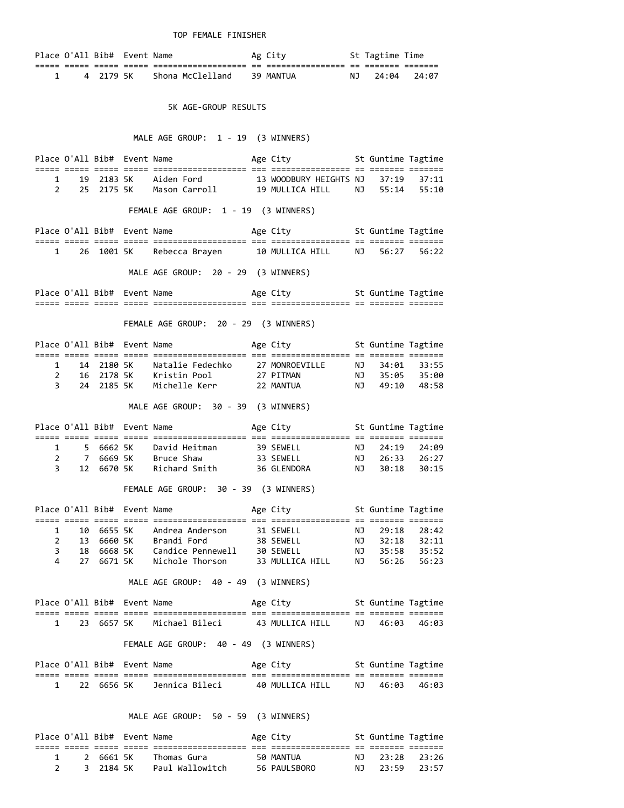TOP FEMALE FINISHER

|  | Place O'All Bib# Event Name |                   | Ag City          | St Tagtime Time |  |
|--|-----------------------------|-------------------|------------------|-----------------|--|
|  |                             | _________________ | ________________ |                 |  |
|  | 4 2179 5K                   | Shona McClelland  | 39 MANTUA        | NJ 24:04 24:07  |  |

5K AGE-GROUP RESULTS

MALE AGE GROUP: 1 - 19 (3 WINNERS)

|                | $1 \quad \Box$              | 19 2183 5K | Aiden Ford 13 WOODBURY HEIGHTS NJ 37:19 37:11<br>Mason Carroll 19 MULLICA HILL NJ 55:14 55:10                 |                                    |    |                      |                |
|----------------|-----------------------------|------------|---------------------------------------------------------------------------------------------------------------|------------------------------------|----|----------------------|----------------|
|                | $\mathcal{P}$               | 25 2175 5K |                                                                                                               |                                    |    |                      |                |
|                |                             |            | FEMALE AGE GROUP: 1 - 19 (3 WINNERS)                                                                          |                                    |    |                      |                |
|                |                             |            | Place O'All Bib# Event Name The Age City St Guntime Tagtime                                                   |                                    |    |                      |                |
|                |                             |            |                                                                                                               |                                    |    |                      |                |
| $\mathbf{1}$   |                             |            | 26 1001 5K Rebecca Brayen 10 MULLICA HILL NJ 56:27 56:22                                                      |                                    |    |                      |                |
|                |                             |            | MALE AGE GROUP: 20 - 29 (3 WINNERS)                                                                           |                                    |    |                      |                |
|                |                             |            |                                                                                                               |                                    |    |                      |                |
|                |                             |            |                                                                                                               |                                    |    |                      |                |
|                |                             |            | FEMALE AGE GROUP: 20 - 29 (3 WINNERS)                                                                         |                                    |    |                      |                |
|                | Place O'All Bib# Event Name |            |                                                                                                               | Age City <b>St Guntime Tagtime</b> |    |                      |                |
|                | $1 \quad \blacksquare$      |            |                                                                                                               |                                    |    |                      |                |
|                | $2^{\sim}$                  |            | 14 2180 5K Natalie Fedechko 27 MONROEVILLE NJ 34:01 33:55<br>16 2178 5K Kristin Pool 27 PITMAN NJ 35:05 35:00 |                                    |    |                      |                |
|                | $3^{\circ}$                 | 24 2185 5K | Michelle Kerr                                                                                                 | 22 MANTUA                          |    | NJ 49:10 48:58       |                |
|                |                             |            | MALE AGE GROUP: 30 - 39 (3 WINNERS)                                                                           |                                    |    |                      |                |
|                | Place O'All Bib# Event Name |            |                                                                                                               | Age City <b>St Guntime Tagtime</b> |    |                      |                |
|                | 1 5 6662 5K                 |            | David Heitman                                                                                                 | 39 SEWELL                          |    | NJ 24:19             | 24:09          |
|                | 2 7 6669 5K                 |            | Bruce Shaw                                                                                                    |                                    |    |                      |                |
| $\overline{3}$ |                             |            | 12 6670 5K Richard Smith                                                                                      | 36 GLENDORA                        |    |                      |                |
|                |                             |            | FEMALE AGE GROUP: 30 - 39 (3 WINNERS)                                                                         |                                    |    |                      |                |
|                | Place O'All Bib# Event Name |            |                                                                                                               | Age City                           |    | St Guntime Tagtime   |                |
|                |                             |            |                                                                                                               |                                    |    |                      |                |
|                | $1 \quad$<br>$2^{\circ}$    | 13 6660 5K | 10 6655 5K Andrea Anderson<br>Brandi Ford                                                                     | 31 SEWELL<br>38 SEWELL             |    | NJ 29:18<br>NJ 32:18 | 28:42<br>32:11 |
|                | 3 <sup>7</sup>              | 18 6668 5K | Candice Pennewell 30 SEWELL                                                                                   |                                    |    | NJ 35:58             | 35:52          |
| 4              | 27                          | 6671 5K    | Nichole Thorson       33 MULLICA HILL                                                                         |                                    |    | NJ 56:26             | 56:23          |
|                |                             |            | MALE AGE GROUP: 40 - 49 (3 WINNERS)                                                                           |                                    |    |                      |                |
|                | Place O'All Bib# Event Name |            |                                                                                                               | Age City                           |    | St Guntime Tagtime   |                |
|                |                             |            |                                                                                                               |                                    |    |                      |                |
| 1              |                             |            | 23   6657  5K        Michael  Bileci              43  MULLICA  HILL                                           |                                    |    | NJ 46:03             | 46:03          |
|                |                             |            | FEMALE AGE GROUP: 40 - 49 (3 WINNERS)                                                                         |                                    |    |                      |                |
|                | Place O'All Bib# Event Name |            |                                                                                                               | Age City                           |    | St Guntime Tagtime   |                |
|                |                             |            |                                                                                                               |                                    |    |                      |                |
| 1              |                             | 22 6656 5K | Jennica Bileci           40 MULLICA HILL                                                                      |                                    |    | NJ 46:03             | 46:03          |
|                |                             |            | MALE AGE GROUP: 50 - 59 (3 WINNERS)                                                                           |                                    |    |                      |                |
|                | Place O'All Bib# Event Name |            |                                                                                                               | Age City                           |    | St Guntime Tagtime   |                |
| 1              | 2                           | 6661 5K    | Thomas Gura                                                                                                   | 50 MANTUA                          | ΝJ | 23:28                | 23:26          |

2 3 2184 5K Paul Wallowitch 56 PAULSBORO NJ 23:59 23:57